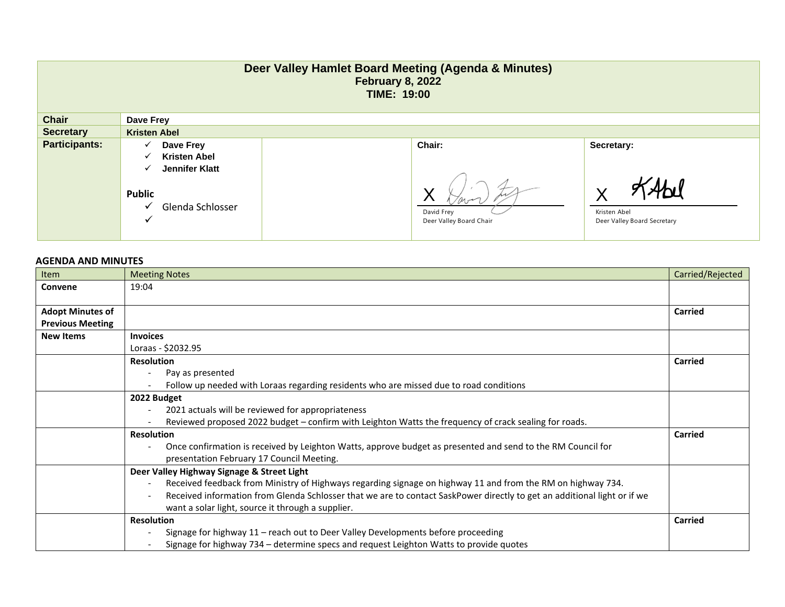|                      |                                                                                    | Deer Valley Hamlet Board Meeting (Agenda & Minutes)<br><b>February 8, 2022</b><br><b>TIME: 19:00</b> |                                             |
|----------------------|------------------------------------------------------------------------------------|------------------------------------------------------------------------------------------------------|---------------------------------------------|
| <b>Chair</b>         | Dave Frey                                                                          |                                                                                                      |                                             |
| <b>Secretary</b>     | <b>Kristen Abel</b>                                                                |                                                                                                      |                                             |
| <b>Participants:</b> | Dave Frey<br>✓<br><b>Kristen Abel</b><br>✓<br>Jennifer Klatt<br>✓<br><b>Public</b> | Chair:                                                                                               | Secretary:<br>V                             |
|                      | Glenda Schlosser<br>v<br>$\checkmark$                                              | David Frey<br>Deer Valley Board Chair                                                                | Kristen Abel<br>Deer Valley Board Secretary |

## **AGENDA AND MINUTES**

| Item                    | <b>Meeting Notes</b>                                                                                                     | Carried/Rejected |  |  |
|-------------------------|--------------------------------------------------------------------------------------------------------------------------|------------------|--|--|
| Convene                 | 19:04                                                                                                                    |                  |  |  |
|                         |                                                                                                                          |                  |  |  |
| <b>Adopt Minutes of</b> |                                                                                                                          | Carried          |  |  |
| <b>Previous Meeting</b> |                                                                                                                          |                  |  |  |
| <b>New Items</b>        | <b>Invoices</b>                                                                                                          |                  |  |  |
|                         | Loraas - \$2032.95                                                                                                       |                  |  |  |
|                         | <b>Resolution</b>                                                                                                        | Carried          |  |  |
|                         | Pay as presented                                                                                                         |                  |  |  |
|                         | Follow up needed with Loraas regarding residents who are missed due to road conditions                                   |                  |  |  |
|                         | 2022 Budget                                                                                                              |                  |  |  |
|                         | 2021 actuals will be reviewed for appropriateness                                                                        |                  |  |  |
|                         | Reviewed proposed 2022 budget - confirm with Leighton Watts the frequency of crack sealing for roads.                    |                  |  |  |
|                         | <b>Resolution</b>                                                                                                        |                  |  |  |
|                         | Once confirmation is received by Leighton Watts, approve budget as presented and send to the RM Council for              |                  |  |  |
|                         | presentation February 17 Council Meeting.                                                                                |                  |  |  |
|                         | Deer Valley Highway Signage & Street Light                                                                               |                  |  |  |
|                         | Received feedback from Ministry of Highways regarding signage on highway 11 and from the RM on highway 734.              |                  |  |  |
|                         | Received information from Glenda Schlosser that we are to contact SaskPower directly to get an additional light or if we |                  |  |  |
|                         | want a solar light, source it through a supplier.                                                                        |                  |  |  |
|                         | <b>Resolution</b>                                                                                                        |                  |  |  |
|                         | Signage for highway 11 - reach out to Deer Valley Developments before proceeding                                         |                  |  |  |
|                         | Signage for highway 734 – determine specs and request Leighton Watts to provide quotes                                   |                  |  |  |